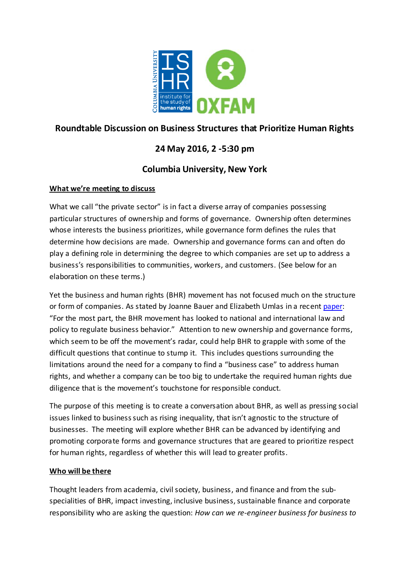

## **Roundtable Discussion on Business Structures that Prioritize Human Rights**

# **24 May 2016, 2 -5:30 pm**

### **Columbia University, New York**

### **What we're meeting to discuss**

What we call "the private sector" is in fact a diverse array of companies possessing particular structures of ownership and forms of governance. Ownership often determines whose interests the business prioritizes, while governance form defines the rules that determine how decisions are made. Ownership and governance forms can and often do play a defining role in determining the degree to which companies are set up to address a business's responsibilities to communities, workers, and customers. (See below for an elaboration on these terms.)

Yet the business and human rights (BHR) movement has not focused much on the structure or form of companies. As stated by Joanne Bauer and Elizabeth Umlas in a recen[t paper:](http://papers.ssrn.com/sol3/papers.cfm?abstract_id=2650136) "For the most part, the BHR movement has looked to national and international law and policy to regulate business behavior." Attention to new ownership and governance forms, which seem to be off the movement's radar, could help BHR to grapple with some of the difficult questions that continue to stump it. This includes questions surrounding the limitations around the need for a company to find a "business case" to address human rights, and whether a company can be too big to undertake the required human rights due diligence that is the movement's touchstone for responsible conduct.

The purpose of this meeting is to create a conversation about BHR, as well as pressing social issues linked to business such as rising inequality, that isn't agnostic to the structure of businesses. The meeting will explore whether BHR can be advanced by identifying and promoting corporate forms and governance structures that are geared to prioritize respect for human rights, regardless of whether this will lead to greater profits.

### **Who will be there**

Thought leaders from academia, civil society, business, and finance and from the subspecialities of BHR, impact investing, inclusive business, sustainable finance and corporate responsibility who are asking the question: *How can we re-engineer business for business to*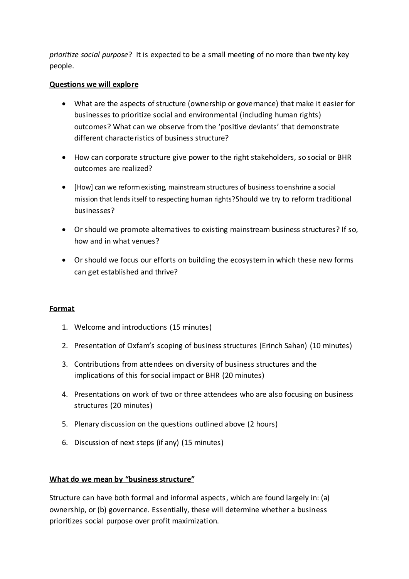*prioritize social purpose*? It is expected to be a small meeting of no more than twenty key people.

#### **Questions we will explore**

- What are the aspects of structure (ownership or governance) that make it easier for businesses to prioritize social and environmental (including human rights) outcomes? What can we observe from the 'positive deviants' that demonstrate different characteristics of business structure?
- How can corporate structure give power to the right stakeholders, so social or BHR outcomes are realized?
- [How] can we reform existing, mainstream structures of business to enshrine a social mission that lends itself to respecting human rights?Should we try to reform traditional businesses?
- Or should we promote alternatives to existing mainstream business structures? If so, how and in what venues?
- Or should we focus our efforts on building the ecosystem in which these new forms can get established and thrive?

### **Format**

- 1. Welcome and introductions (15 minutes)
- 2. Presentation of Oxfam's scoping of business structures (Erinch Sahan) (10 minutes)
- 3. Contributions from attendees on diversity of business structures and the implications of this forsocial impact or BHR (20 minutes)
- 4. Presentations on work of two or three attendees who are also focusing on business structures (20 minutes)
- 5. Plenary discussion on the questions outlined above (2 hours)
- 6. Discussion of next steps (if any) (15 minutes)

#### **What do we mean by "business structure"**

Structure can have both formal and informal aspects, which are found largely in: (a) ownership, or (b) governance. Essentially, these will determine whether a business prioritizes social purpose over profit maximization.